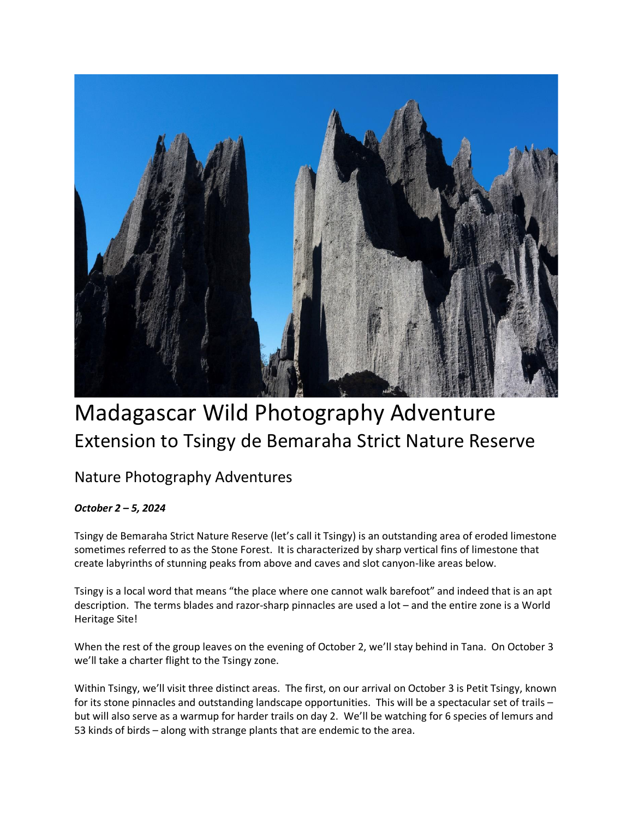

## Madagascar Wild Photography Adventure Extension to Tsingy de Bemaraha Strict Nature Reserve

## Nature Photography Adventures

## *October 2 – 5, 2024*

Tsingy de Bemaraha Strict Nature Reserve (let's call it Tsingy) is an outstanding area of eroded limestone sometimes referred to as the Stone Forest. It is characterized by sharp vertical fins of limestone that create labyrinths of stunning peaks from above and caves and slot canyon-like areas below.

Tsingy is a local word that means "the place where one cannot walk barefoot" and indeed that is an apt description. The terms blades and razor-sharp pinnacles are used a lot – and the entire zone is a World Heritage Site!

When the rest of the group leaves on the evening of October 2, we'll stay behind in Tana. On October 3 we'll take a charter flight to the Tsingy zone.

Within Tsingy, we'll visit three distinct areas. The first, on our arrival on October 3 is Petit Tsingy, known for its stone pinnacles and outstanding landscape opportunities. This will be a spectacular set of trails – but will also serve as a warmup for harder trails on day 2. We'll be watching for 6 species of lemurs and 53 kinds of birds – along with strange plants that are endemic to the area.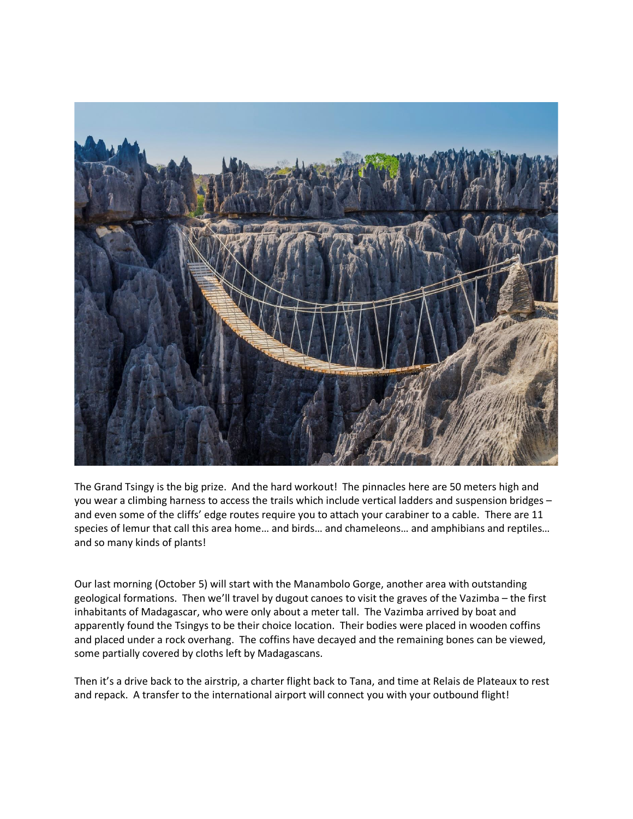

The Grand Tsingy is the big prize. And the hard workout! The pinnacles here are 50 meters high and you wear a climbing harness to access the trails which include vertical ladders and suspension bridges – and even some of the cliffs' edge routes require you to attach your carabiner to a cable. There are 11 species of lemur that call this area home… and birds… and chameleons… and amphibians and reptiles… and so many kinds of plants!

Our last morning (October 5) will start with the Manambolo Gorge, another area with outstanding geological formations. Then we'll travel by dugout canoes to visit the graves of the Vazimba – the first inhabitants of Madagascar, who were only about a meter tall. The Vazimba arrived by boat and apparently found the Tsingys to be their choice location. Their bodies were placed in wooden coffins and placed under a rock overhang. The coffins have decayed and the remaining bones can be viewed, some partially covered by cloths left by Madagascans.

Then it's a drive back to the airstrip, a charter flight back to Tana, and time at Relais de Plateaux to rest and repack. A transfer to the international airport will connect you with your outbound flight!